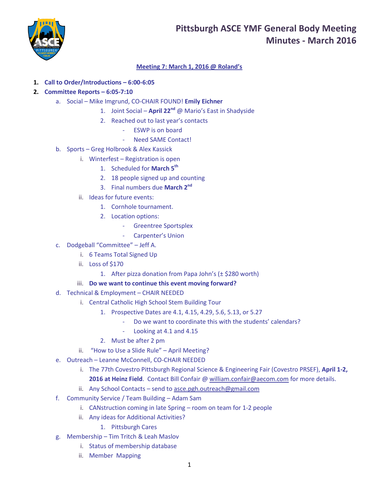# **Pittsburgh ASCE YMF General Body Meeting Minutes - March 2016**



# **Meeting 7: March 1, 2016 @ Roland's**

## **1. Call to Order/Introductions – 6:00-6:05**

## **2. Committee Reports – 6:05-7:10**

- a. Social Mike Imgrund, CO-CHAIR FOUND! **Emily Eichner**
	- 1. Joint Social **April 22nd** @ Mario's East in Shadyside
	- 2. Reached out to last year's contacts
		- ESWP is on board
		- Need SAME Contact!
- b. Sports Greg Holbrook & Alex Kassick
	- i. Winterfest Registration is open
		- 1. Scheduled for **March 5th**
		- 2. 18 people signed up and counting
		- 3. Final numbers due **March 2nd**
	- ii. Ideas for future events:
		- 1. Cornhole tournament.
		- 2. Location options:
			- Greentree Sportsplex
			- Carpenter's Union
- c. Dodgeball "Committee" Jeff A.
	- i. 6 Teams Total Signed Up
	- ii. Loss of \$170
		- 1. After pizza donation from Papa John's  $(\pm$  \$280 worth)

### iii. **Do we want to continue this event moving forward?**

- d. Technical & Employment CHAIR NEEDED
	- i. Central Catholic High School Stem Building Tour
		- 1. Prospective Dates are 4.1, 4.15, 4.29, 5.6, 5.13, or 5.27
			- Do we want to coordinate this with the students' calendars?
			- Looking at 4.1 and 4.15
		- 2. Must be after 2 pm
	- ii. "How to Use a Slide Rule" April Meeting?
- e. Outreach Leanne McConnell, CO-CHAIR NEEDED
	- i. The 77th Covestro Pittsburgh Regional Science & Engineering Fair (Covestro PRSEF), **April 1-2, 2016 at Heinz Field**. Contact Bill Confair [@ william.confair@aecom.com](mailto:william.confair@aecom.com) for more details.
	- ii. Any School Contacts send to [asce.pgh.outreach@gmail.com](mailto:asce.pgh.outreach@gmail.com)
- f. Community Service / Team Building Adam Sam
	- i. CANstruction coming in late Spring room on team for 1-2 people
	- ii. Any ideas for Additional Activities?
		- 1. Pittsburgh Cares
- g. Membership Tim Tritch & Leah Maslov
	- i. Status of membership database
	- ii. Member Mapping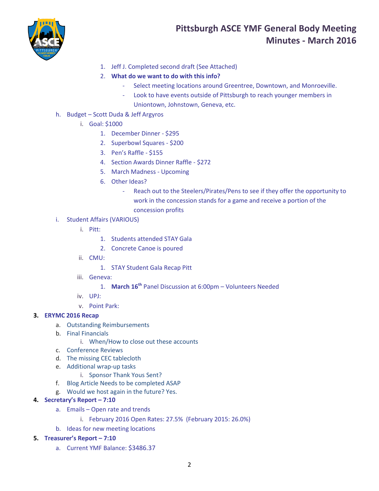

# **Pittsburgh ASCE YMF General Body Meeting Minutes - March 2016**

- 1. Jeff J. Completed second draft (See Attached)
- 2. **What do we want to do with this info?** 
	- Select meeting locations around Greentree, Downtown, and Monroeville.
	- Look to have events outside of Pittsburgh to reach younger members in
		- Uniontown, Johnstown, Geneva, etc.
- h. Budget Scott Duda & Jeff Argyros
	- i. Goal: \$1000
		- 1. December Dinner \$295
		- 2. Superbowl Squares \$200
		- 3. Pen's Raffle \$155
		- 4. Section Awards Dinner Raffle \$272
		- 5. March Madness Upcoming
		- 6. Other Ideas?
			- Reach out to the Steelers/Pirates/Pens to see if they offer the opportunity to work in the concession stands for a game and receive a portion of the concession profits
- i. Student Affairs (VARIOUS)
	- i. Pitt:
		- 1. Students attended STAY Gala
		- 2. Concrete Canoe is poured
	- ii. CMU:
		- 1. STAY Student Gala Recap Pitt
	- iii. Geneva:
		- 1. **March 16th** Panel Discussion at 6:00pm Volunteers Needed
	- iv. UPJ:
	- v. Point Park:

## **3. ERYMC 2016 Recap**

- a. Outstanding Reimbursements
- b. Final Financials
	- i. When/How to close out these accounts
- c. Conference Reviews
- d. The missing CEC tablecloth
- e. Additional wrap-up tasks
	- i. Sponsor Thank Yous Sent?
- f. Blog Article Needs to be completed ASAP
- g. Would we host again in the future? Yes.

#### **4. Secretary's Report – 7:10**

- a. Emails Open rate and trends
	- i. February 2016 Open Rates: 27.5% (February 2015: 26.0%)
- b. Ideas for new meeting locations

#### **5. Treasurer's Report – 7:10**

a. Current YMF Balance: \$3486.37